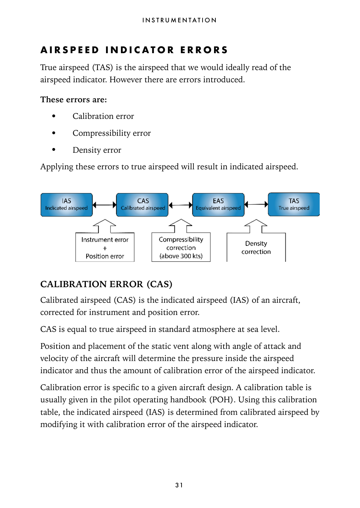# **AIRSPEED INDICATOR ERRORS**

True airspeed (TAS) is the airspeed that we would ideally read of the airspeed indicator. However there are errors introduced.

#### **These errors are:**

- Calibration error
- Compressibility error
- Density error

Applying these errors to true airspeed will result in indicated airspeed.



## **CALIBRATION ERROR (CAS)**

Calibrated airspeed (CAS) is the indicated airspeed (IAS) of an aircraft, corrected for instrument and position error.

CAS is equal to true airspeed in standard atmosphere at sea level.

Position and placement of the static vent along with angle of attack and velocity of the aircraft will determine the pressure inside the airspeed indicator and thus the amount of calibration error of the airspeed indicator.

Calibration error is specific to a given aircraft design. A calibration table is usually given in the pilot operating handbook (POH). Using this calibration table, the indicated airspeed (IAS) is determined from calibrated airspeed by modifying it with calibration error of the airspeed indicator.